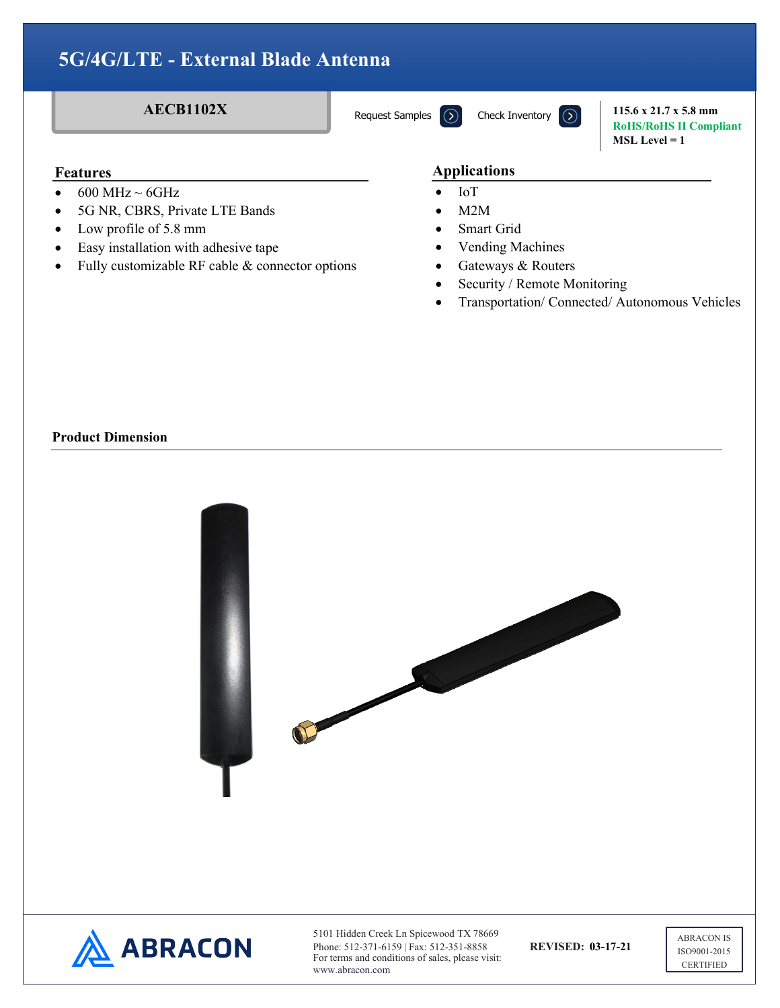Request Samples  $\left(\Omega\right)$ 

**AECB1102X** Request Samples  $\overline{(\lambda)}$  Check Inventory  $\overline{(\lambda)}$  115.6 x 21.7 x 5.8 mm **RoHS/RoHS II Compliant MSL Level = 1**

#### **Features**

- $\bullet$  600 MHz ~ 6GHz
- 5G NR, CBRS, Private LTE Bands
- Low profile of 5.8 mm
- Easy installation with adhesive tape
- Fully customizable RF cable & connector options

#### **Features Applications**

- IoT
- $M2M$
- Smart Grid
- Vending Machines
- Gateways & Routers
- Security / Remote Monitoring
- Transportation/ Connected/ Autonomous Vehicles

### **Product Dimension**

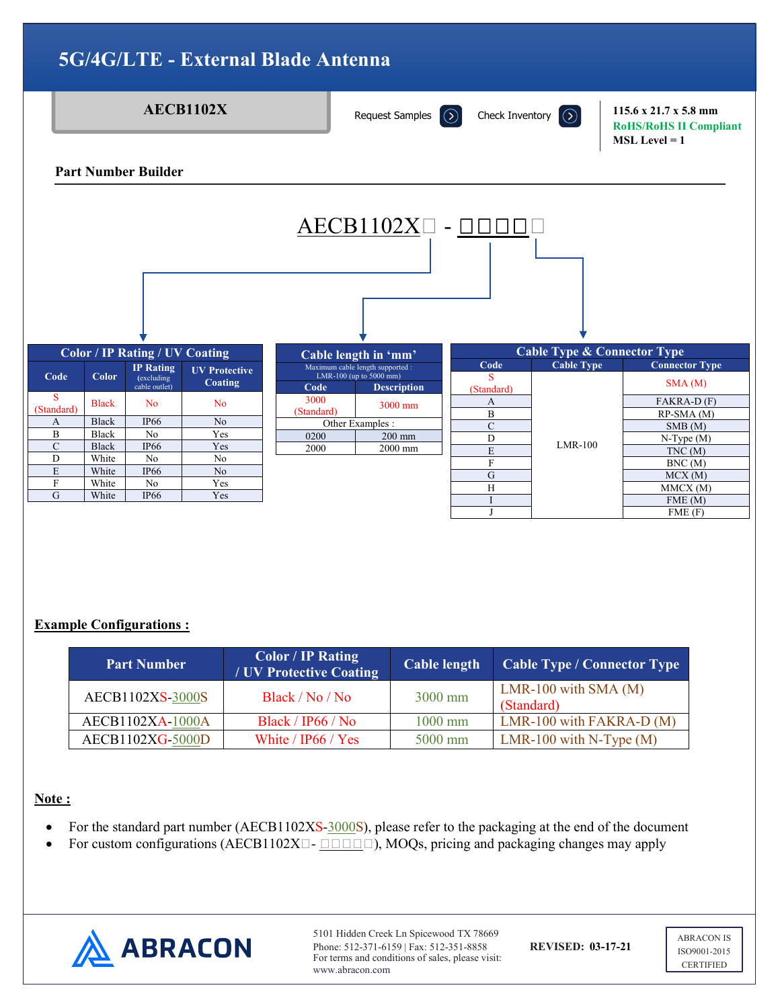

### **Example Configurations :**

| <b>Part Number</b> | <b>Color</b> / IP Rating<br>/ UV Protective Coating | <b>Cable length</b> | <b>Cable Type / Connector Type</b>   |
|--------------------|-----------------------------------------------------|---------------------|--------------------------------------|
| AECB1102XS-3000S   | Black / No / No                                     | $3000$ mm           | LMR-100 with SMA $(M)$<br>(Standard) |
| AECB1102XA-1000A   | Black / IP66 / No                                   | $1000$ mm           | LMR-100 with FAKRA-D $(M)$           |
| AECB1102XG-5000D   | White / IP66 / Yes                                  | 5000 mm             | LMR-100 with N-Type $(M)$            |

#### **Note :**

- For the standard part number (AECB1102XS-3000S), please refer to the packaging at the end of the document
- For custom configurations (AECB1102X $\Box$ - $\Box$  $\Box$  $\Box$ ), MOQs, pricing and packaging changes may apply



5101 Hidden Creek Ln Spicewood TX 78669 Phone: 512-371-6159 | Fax: 512-351-8858 **REVISED: 03-17-21** For terms and conditions of sales, please visit: www.abracon.com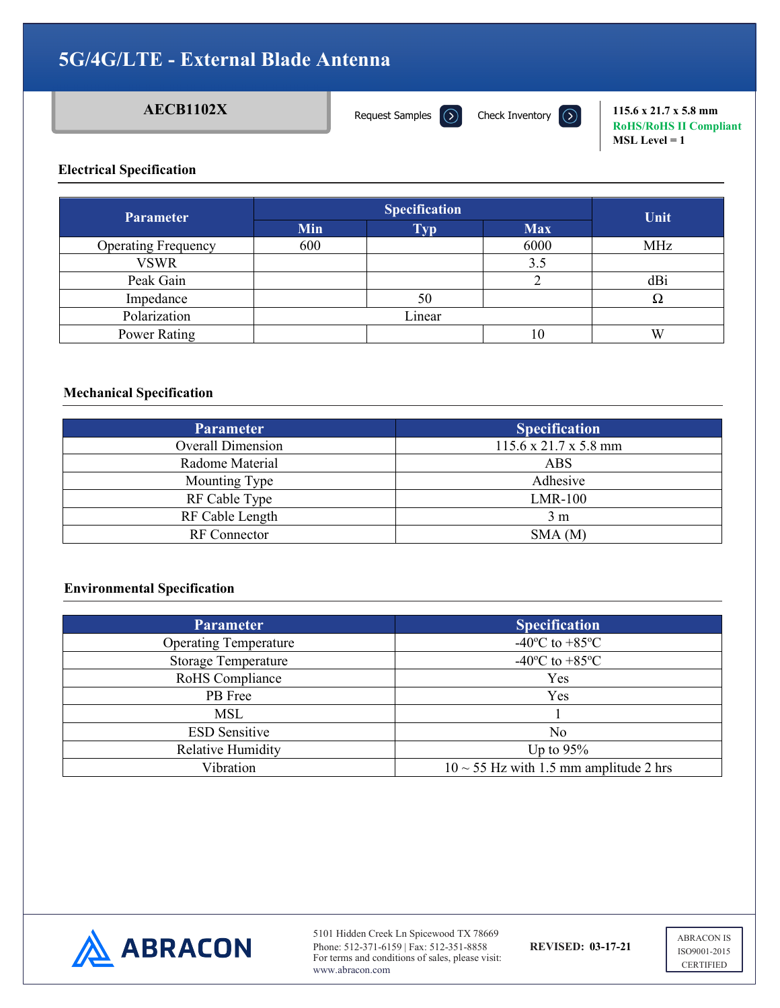Request Samples  $\bigcirc$ 

**AECB1102X** Request Samples  $\overline{(\lambda)}$  Check Inventory  $\overline{(\lambda)}$  115.6 x 21.7 x 5.8 mm **RoHS/RoHS II Compliant MSL Level = 1**

### **Electrical Specification**

| <b>Parameter</b>           | <b>Specification</b> |            |            | Unit       |
|----------------------------|----------------------|------------|------------|------------|
|                            | Min                  | <b>Typ</b> | <b>Max</b> |            |
| <b>Operating Frequency</b> | 600                  |            | 6000       | <b>MHz</b> |
| <b>VSWR</b>                |                      |            | 3.5        |            |
| Peak Gain                  |                      |            |            | dBi        |
| Impedance                  |                      | 50         |            |            |
| Polarization               |                      | Linear     |            |            |
| Power Rating               |                      |            | 10         | W          |

### **Mechanical Specification**

| <b>Parameter</b>         | <b>Specification</b>                      |
|--------------------------|-------------------------------------------|
| <b>Overall Dimension</b> | $115.6 \times 21.7 \times 5.8 \text{ mm}$ |
| Radome Material          | ABS                                       |
| Mounting Type            | Adhesive                                  |
| RF Cable Type            | LMR-100                                   |
| RF Cable Length          | 3 <sub>m</sub>                            |
| <b>RF</b> Connector      | SMA(M)                                    |

#### **Environmental Specification**

| <b>Parameter</b>             | <b>Specification</b>                        |
|------------------------------|---------------------------------------------|
| <b>Operating Temperature</b> | -40 $^{\circ}$ C to +85 $^{\circ}$ C        |
| <b>Storage Temperature</b>   | -40 $^{\circ}$ C to +85 $^{\circ}$ C        |
| RoHS Compliance              | Yes                                         |
| PB Free                      | Yes                                         |
| MSL                          |                                             |
| <b>ESD</b> Sensitive         | No                                          |
| Relative Humidity            | Up to $95%$                                 |
| Vibration                    | $10 \sim 55$ Hz with 1.5 mm amplitude 2 hrs |



5101 Hidden Creek Ln Spicewood TX 78669 Phone: 512-371-6159 | Fax: 512-351-8858 **REVISED: 03-17-21** For terms and conditions of sales, please visit: www.abracon.com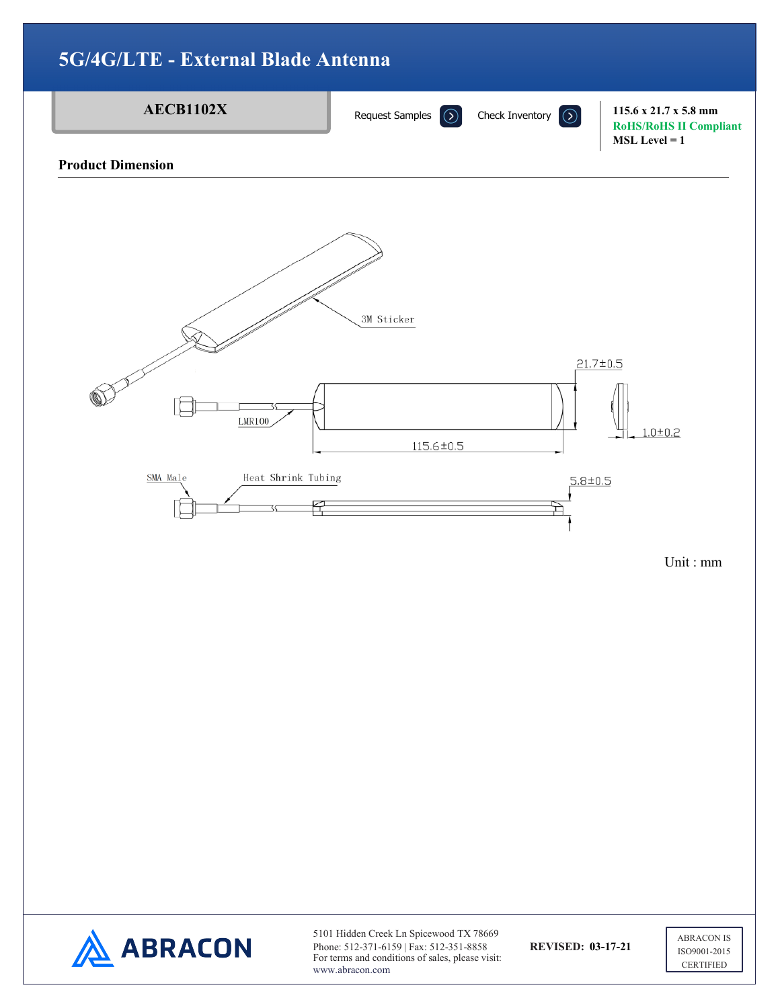

**ABRACON** 

Phone: 512-371-6159 | Fax: 512-351-8858 **REVISED: 03-17-21** For terms and conditions of sales, please visit: www.abracon.com

ISO9001-2015 **CERTIFIED**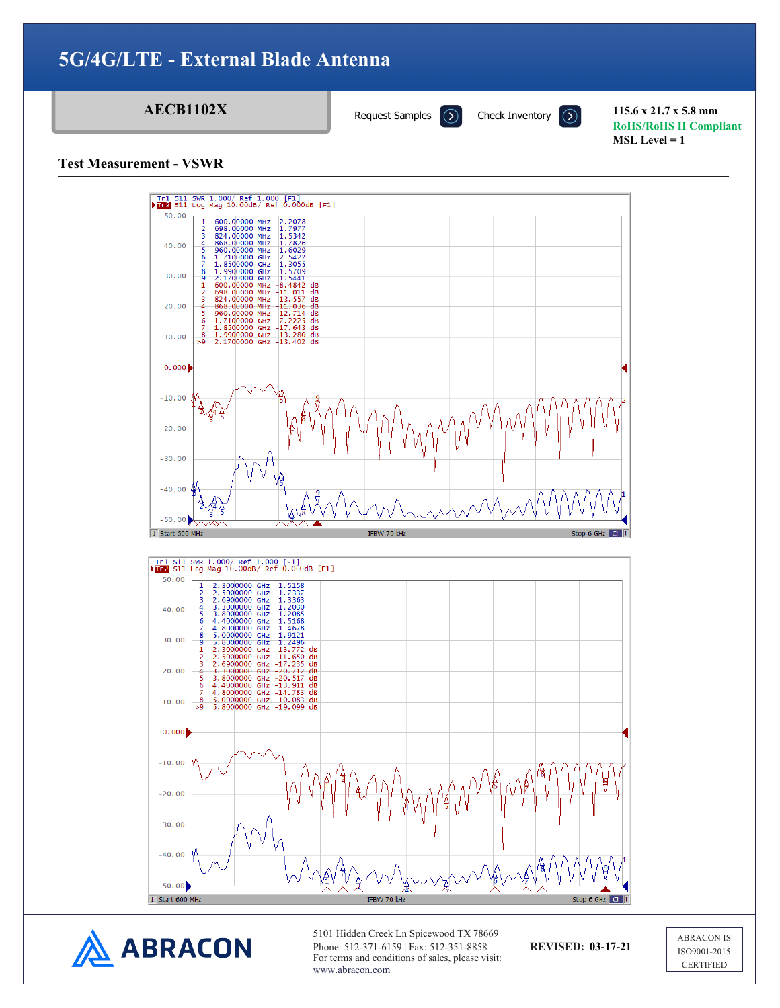Request Samples  $\Omega$ 

**AECB1102X** Request Samples  $\overline{(\Sigma)}$  Check Inventory  $\overline{(\Sigma)}$  115.6 x 21.7 x 5.8 mm **RoHS/RoHS II Compliant MSL Level = 1**

**Test Measurement - VSWR**





5101 Hidden Creek Ln Spicewood TX 78669 Phone: 512-371-6159 | Fax: 512-351-8858 **REVISED: 03-17-21** For terms and conditions of sales, please visit: www.abracon.com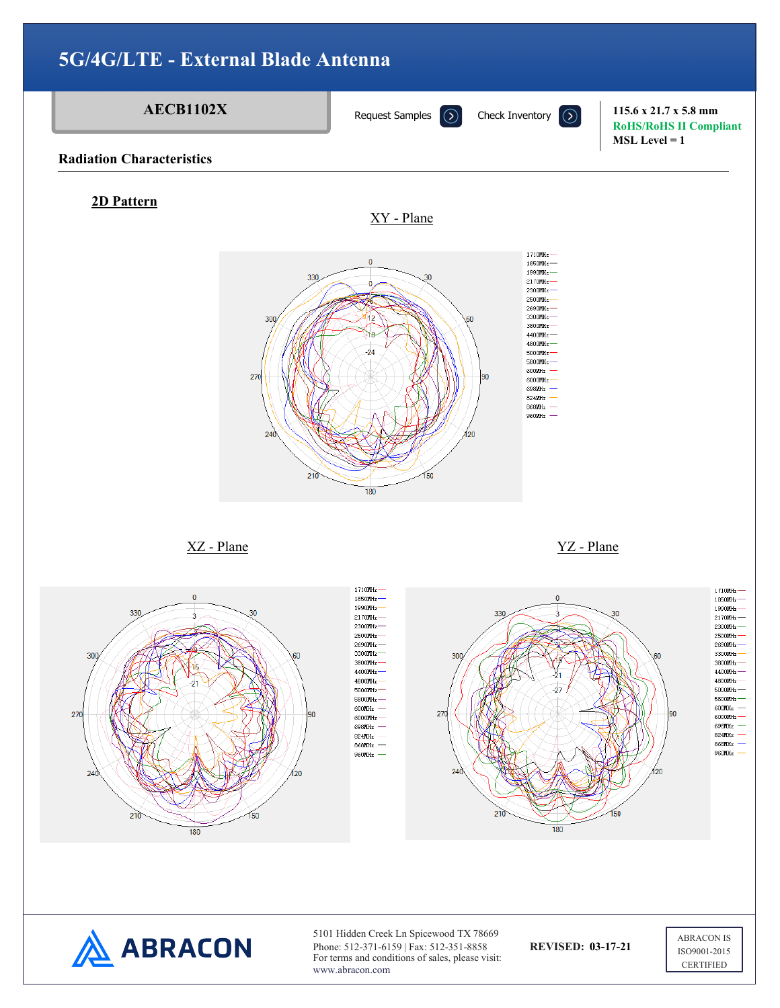

Phone: 512-371-6159 | Fax: 512-351-8858 **REVISED: 03-17-21** For terms and conditions of sales, please visit: www.abracon.com

ISO9001-2015 **CERTIFIED**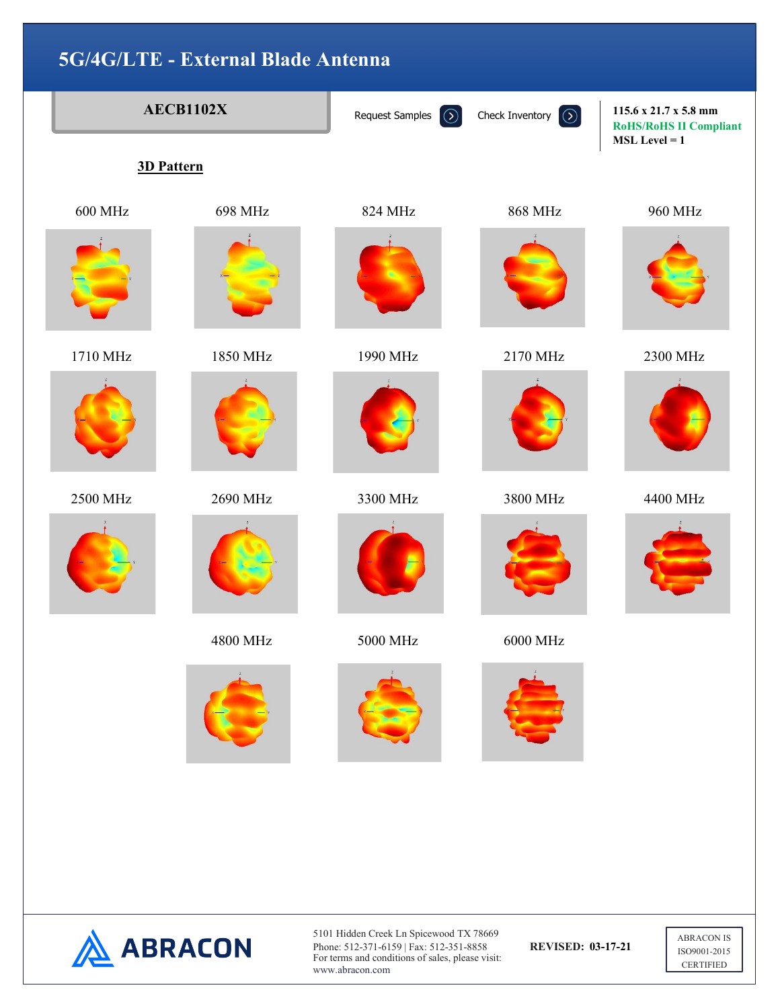|  | <b>AECB1102X</b><br>3D Pattern |          | Request Samples<br>$\odot$ | $\odot$<br>Check Inventory | 115.6 x 21.7 x 5.8 mm<br><b>RoHS/RoHS II Compliant</b><br>$MSL Level = 1$ |
|--|--------------------------------|----------|----------------------------|----------------------------|---------------------------------------------------------------------------|
|  |                                |          |                            |                            |                                                                           |
|  | <b>600 MHz</b>                 | 698 MHz  | 824 MHz                    | <b>868 MHz</b>             | 960 MHz                                                                   |
|  |                                |          |                            |                            |                                                                           |
|  | 1710 MHz                       | 1850 MHz | 1990 MHz                   | 2170 MHz                   | 2300 MHz                                                                  |
|  |                                |          |                            |                            |                                                                           |
|  | 2500 MHz                       | 2690 MHz | 3300 MHz                   | 3800 MHz                   | 4400 MHz                                                                  |
|  |                                |          |                            |                            |                                                                           |
|  |                                | 4800 MHz | 5000 MHz                   | 6000 MHz                   |                                                                           |
|  |                                |          |                            |                            |                                                                           |
|  |                                |          |                            |                            |                                                                           |



5101 Hidden Creek Ln Spicewood TX 78669 Phone: 512-371-6159 | Fax: 512-351-8858 **REVISED: 03-17-21** For terms and conditions of sales, please visit: www.abracon.com